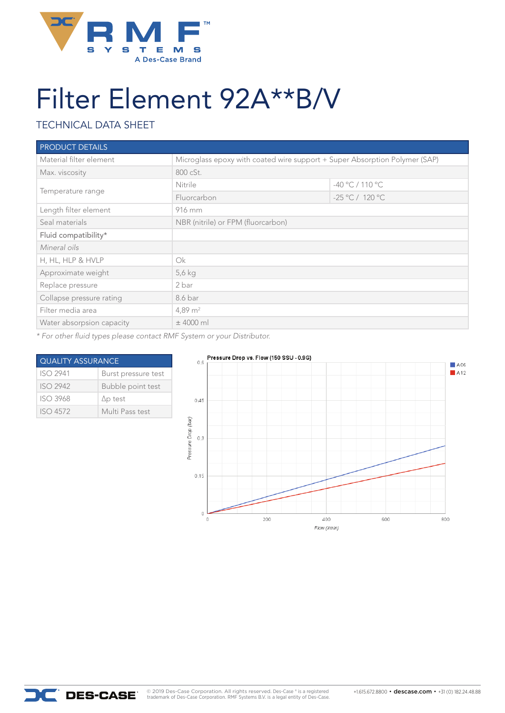

# Filter Element 92A\*\*B/V

### TECHNICAL DATA SHEET

| <b>PRODUCT DETAILS</b>    |                                                                            |                   |
|---------------------------|----------------------------------------------------------------------------|-------------------|
| Material filter element   | Microglass epoxy with coated wire support + Super Absorption Polymer (SAP) |                   |
| Max. viscosity            | 800 cSt.                                                                   |                   |
| Temperature range         | Nitrile                                                                    | -40 °C / 110 °C   |
|                           | Fluorcarbon                                                                | $-25 °C / 120 °C$ |
| Length filter element     | 916 mm                                                                     |                   |
| Seal materials            | NBR (nitrile) or FPM (fluorcarbon)                                         |                   |
| Fluid compatibility*      |                                                                            |                   |
| Mineral oils              |                                                                            |                   |
| H, HL, HLP & HVLP         | Ok                                                                         |                   |
| Approximate weight        | 5,6 kg                                                                     |                   |
| Replace pressure          | 2 bar                                                                      |                   |
| Collapse pressure rating  | 8.6 bar                                                                    |                   |
| Filter media area         | 4,89 $m2$                                                                  |                   |
| Water absorpsion capacity | $±$ 4000 ml                                                                |                   |

*\* For other fluid types please contact RMF System or your Distributor.* 

| <b>QUALITY ASSURANCE</b> |                     |  |
|--------------------------|---------------------|--|
| <b>ISO 2941</b>          | Burst pressure test |  |
| <b>ISO 2942</b>          | Bubble point test   |  |
| <b>ISO 3968</b>          | $\Delta p$ test     |  |
| ISO4572                  | Multi Pass test     |  |

#### Pressure Drop vs. Flow (150 SSU - 0.9G)

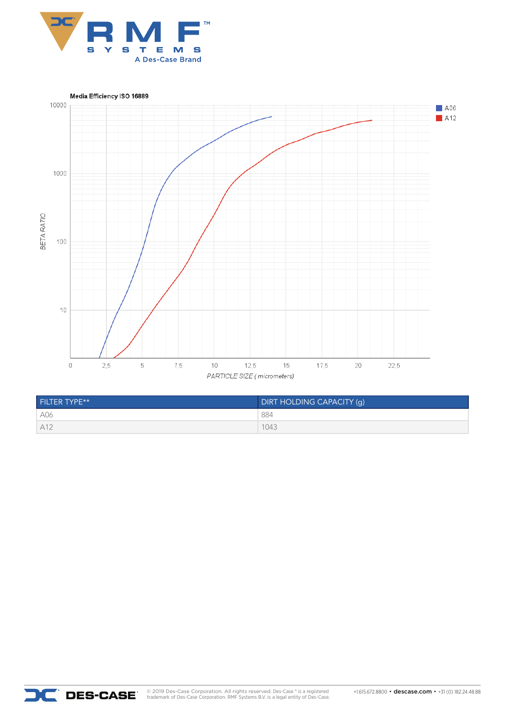



| <b>FILTER TYPE**</b> | <b>DIRT HOLDING CAPACITY (g)</b> |
|----------------------|----------------------------------|
| A06                  | 884                              |
| A12                  | 104.5                            |



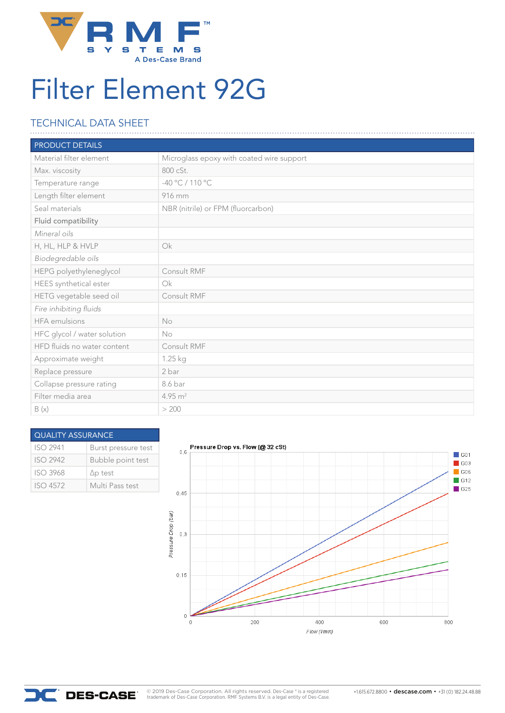

# Filter Element 92G

## TECHNICAL DATA SHEET

| <b>PRODUCT DETAILS</b>      |                                           |  |
|-----------------------------|-------------------------------------------|--|
| Material filter element     | Microglass epoxy with coated wire support |  |
| Max. viscosity              | 800 cSt.                                  |  |
| Temperature range           | -40 °C / 110 °C                           |  |
| Length filter element       | 916 mm                                    |  |
| Seal materials              | NBR (nitrile) or FPM (fluorcarbon)        |  |
| Fluid compatibility         |                                           |  |
| Mineral oils                |                                           |  |
| H, HL, HLP & HVLP           | Ok                                        |  |
| Biodegredable oils          |                                           |  |
| HEPG polyethyleneglycol     | Consult RMF                               |  |
| HEES synthetical ester      | Ok                                        |  |
| HETG vegetable seed oil     | Consult RMF                               |  |
| Fire inhibiting fluids      |                                           |  |
| <b>HFA</b> emulsions        | No                                        |  |
| HFC glycol / water solution | No                                        |  |
| HFD fluids no water content | Consult RMF                               |  |
| Approximate weight          | 1.25 kg                                   |  |
| Replace pressure            | 2 bar                                     |  |
| Collapse pressure rating    | 8.6 bar                                   |  |
| Filter media area           | $4.95 \text{ m}^2$                        |  |
| B(x)                        | > 200                                     |  |

#### QUALITY ASSURANCE ISO 2941 Burst pressure test ISO 2942 Bubble point test ISO 3968 ∆p test ISO 4572 Multi Pass test